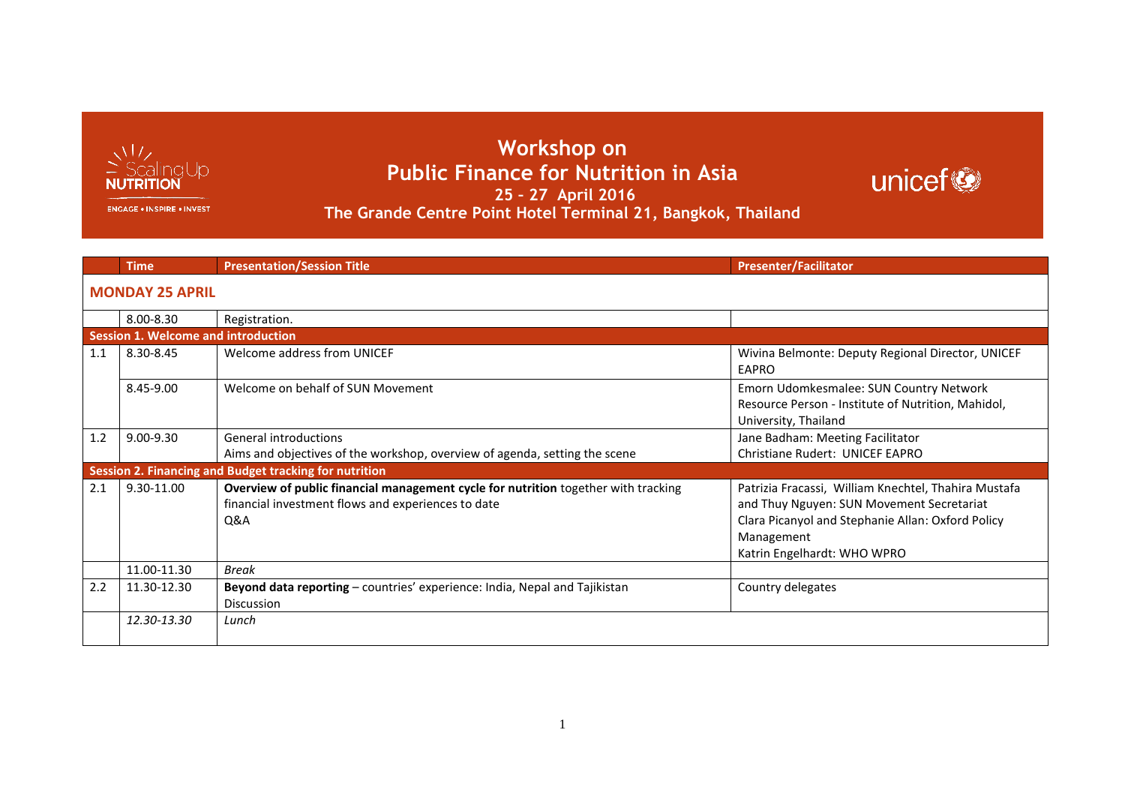

**Workshop on Public Finance for Nutrition in Asia 25 – 27 April 2016 The Grande Centre Point Hotel Terminal 21, Bangkok, Thailand**

## unicef

**ENGAGE . INSPIRE . INVEST** 

|     | <b>Time</b>                                | <b>Presentation/Session Title</b>                                                                                                                          | <b>Presenter/Facilitator</b>                                                                                                                                                                        |  |
|-----|--------------------------------------------|------------------------------------------------------------------------------------------------------------------------------------------------------------|-----------------------------------------------------------------------------------------------------------------------------------------------------------------------------------------------------|--|
|     | <b>MONDAY 25 APRIL</b>                     |                                                                                                                                                            |                                                                                                                                                                                                     |  |
|     | 8.00-8.30                                  | Registration.                                                                                                                                              |                                                                                                                                                                                                     |  |
|     | <b>Session 1. Welcome and introduction</b> |                                                                                                                                                            |                                                                                                                                                                                                     |  |
| 1.1 | 8.30-8.45                                  | Welcome address from UNICEF                                                                                                                                | Wivina Belmonte: Deputy Regional Director, UNICEF<br>EAPRO                                                                                                                                          |  |
|     | 8.45-9.00                                  | Welcome on behalf of SUN Movement                                                                                                                          | Emorn Udomkesmalee: SUN Country Network<br>Resource Person - Institute of Nutrition, Mahidol,<br>University, Thailand                                                                               |  |
| 1.2 | $9.00 - 9.30$                              | General introductions                                                                                                                                      | Jane Badham: Meeting Facilitator                                                                                                                                                                    |  |
|     |                                            | Aims and objectives of the workshop, overview of agenda, setting the scene                                                                                 | <b>Christiane Rudert: UNICEF EAPRO</b>                                                                                                                                                              |  |
|     |                                            | Session 2. Financing and Budget tracking for nutrition                                                                                                     |                                                                                                                                                                                                     |  |
| 2.1 | 9.30-11.00                                 | Overview of public financial management cycle for nutrition together with tracking<br>financial investment flows and experiences to date<br><b>O&amp;A</b> | Patrizia Fracassi, William Knechtel, Thahira Mustafa<br>and Thuy Nguyen: SUN Movement Secretariat<br>Clara Picanyol and Stephanie Allan: Oxford Policy<br>Management<br>Katrin Engelhardt: WHO WPRO |  |
|     | 11.00-11.30                                | Break                                                                                                                                                      |                                                                                                                                                                                                     |  |
| 2.2 | 11.30-12.30                                | Beyond data reporting - countries' experience: India, Nepal and Tajikistan<br><b>Discussion</b>                                                            | Country delegates                                                                                                                                                                                   |  |
|     | 12.30-13.30                                | Lunch                                                                                                                                                      |                                                                                                                                                                                                     |  |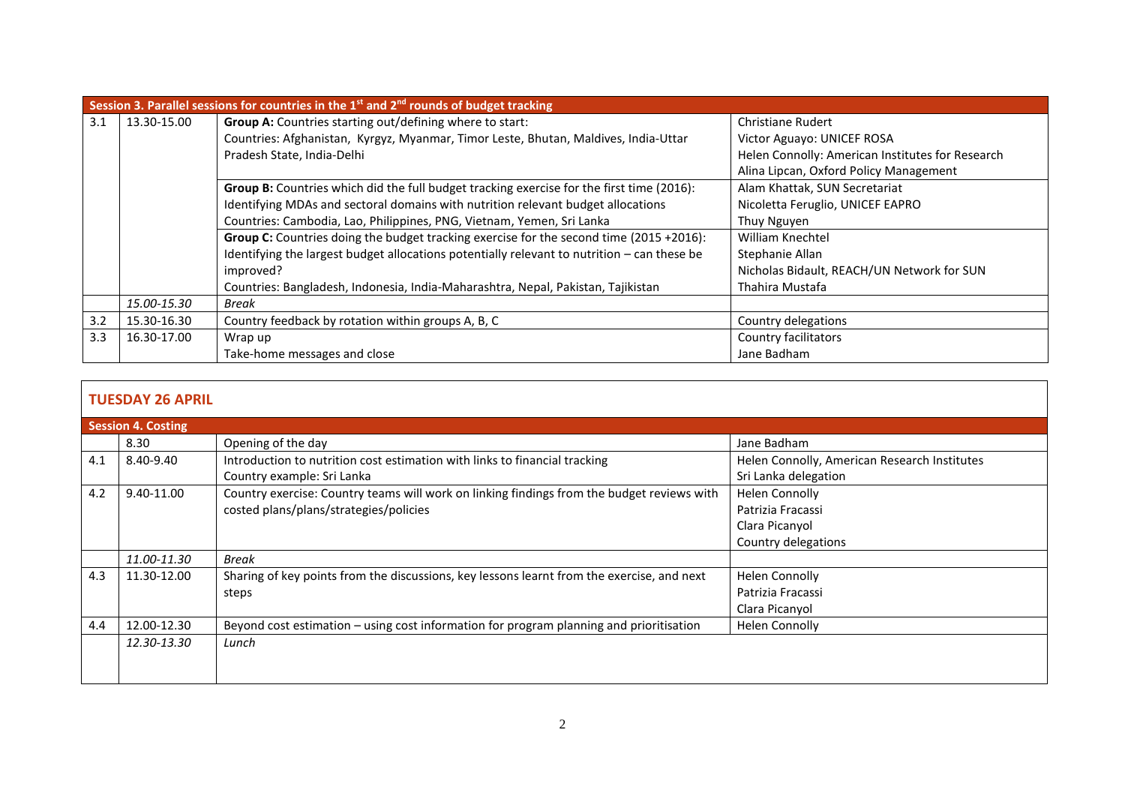|     | Session 3. Parallel sessions for countries in the $1^{st}$ and $2^{nd}$ rounds of budget tracking |                                                                                                |                                                  |  |
|-----|---------------------------------------------------------------------------------------------------|------------------------------------------------------------------------------------------------|--------------------------------------------------|--|
| 3.1 | 13.30-15.00                                                                                       | Group A: Countries starting out/defining where to start:                                       | <b>Christiane Rudert</b>                         |  |
|     |                                                                                                   | Countries: Afghanistan, Kyrgyz, Myanmar, Timor Leste, Bhutan, Maldives, India-Uttar            | Victor Aguayo: UNICEF ROSA                       |  |
|     |                                                                                                   | Pradesh State, India-Delhi                                                                     | Helen Connolly: American Institutes for Research |  |
|     |                                                                                                   |                                                                                                | Alina Lipcan, Oxford Policy Management           |  |
|     |                                                                                                   | Group B: Countries which did the full budget tracking exercise for the first time (2016):      | Alam Khattak, SUN Secretariat                    |  |
|     |                                                                                                   | Identifying MDAs and sectoral domains with nutrition relevant budget allocations               | Nicoletta Feruglio, UNICEF EAPRO                 |  |
|     |                                                                                                   | Countries: Cambodia, Lao, Philippines, PNG, Vietnam, Yemen, Sri Lanka                          | Thuy Nguyen                                      |  |
|     |                                                                                                   | <b>Group C:</b> Countries doing the budget tracking exercise for the second time (2015 +2016): | William Knechtel                                 |  |
|     |                                                                                                   | Identifying the largest budget allocations potentially relevant to nutrition – can these be    | Stephanie Allan                                  |  |
|     |                                                                                                   | improved?                                                                                      | Nicholas Bidault, REACH/UN Network for SUN       |  |
|     |                                                                                                   | Countries: Bangladesh, Indonesia, India-Maharashtra, Nepal, Pakistan, Tajikistan               | Thahira Mustafa                                  |  |
|     | 15.00-15.30                                                                                       | Break                                                                                          |                                                  |  |
| 3.2 | 15.30-16.30                                                                                       | Country feedback by rotation within groups A, B, C                                             | Country delegations                              |  |
| 3.3 | 16.30-17.00                                                                                       | Wrap up                                                                                        | Country facilitators                             |  |
|     |                                                                                                   | Take-home messages and close                                                                   | Jane Badham                                      |  |

## **TUESDAY 26 APRIL**

|     | <b>Session 4. Costing</b> |                                                                                            |                                              |  |
|-----|---------------------------|--------------------------------------------------------------------------------------------|----------------------------------------------|--|
|     | 8.30                      | Opening of the day                                                                         | Jane Badham                                  |  |
| 4.1 | 8.40-9.40                 | Introduction to nutrition cost estimation with links to financial tracking                 | Helen Connolly, American Research Institutes |  |
|     |                           | Country example: Sri Lanka                                                                 | Sri Lanka delegation                         |  |
| 4.2 | 9.40-11.00                | Country exercise: Country teams will work on linking findings from the budget reviews with | <b>Helen Connolly</b>                        |  |
|     |                           | costed plans/plans/strategies/policies                                                     | Patrizia Fracassi                            |  |
|     |                           |                                                                                            | Clara Picanyol                               |  |
|     |                           |                                                                                            | Country delegations                          |  |
|     | 11.00-11.30               | Break                                                                                      |                                              |  |
| 4.3 | 11.30-12.00               | Sharing of key points from the discussions, key lessons learnt from the exercise, and next | <b>Helen Connolly</b>                        |  |
|     |                           | steps                                                                                      | Patrizia Fracassi                            |  |
|     |                           |                                                                                            | Clara Picanyol                               |  |
| 4.4 | 12.00-12.30               | Beyond cost estimation – using cost information for program planning and prioritisation    | <b>Helen Connolly</b>                        |  |
|     | 12.30-13.30               | Lunch                                                                                      |                                              |  |
|     |                           |                                                                                            |                                              |  |
|     |                           |                                                                                            |                                              |  |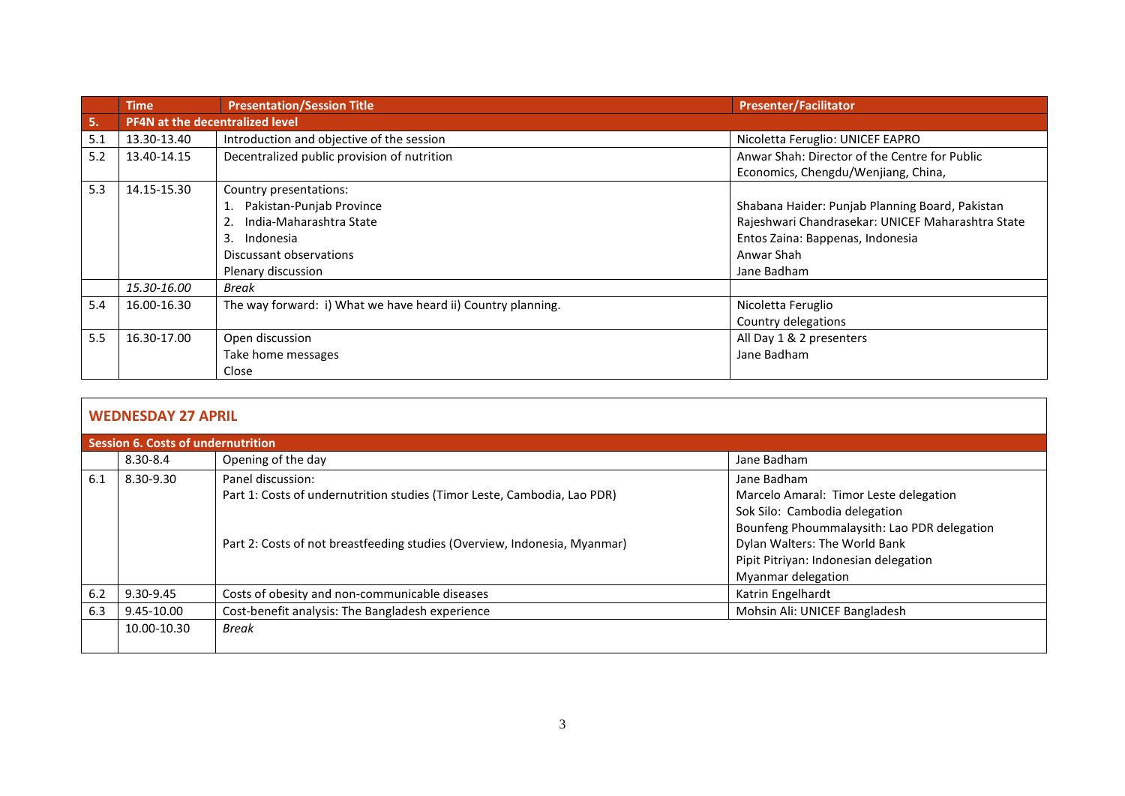|     | <b>Time</b>                            | <b>Presentation/Session Title</b>                            | <b>Presenter/Facilitator</b>                      |
|-----|----------------------------------------|--------------------------------------------------------------|---------------------------------------------------|
| 5.  | <b>PF4N at the decentralized level</b> |                                                              |                                                   |
| 5.1 | 13.30-13.40                            | Introduction and objective of the session                    | Nicoletta Feruglio: UNICEF EAPRO                  |
| 5.2 | 13.40-14.15                            | Decentralized public provision of nutrition                  | Anwar Shah: Director of the Centre for Public     |
|     |                                        |                                                              | Economics, Chengdu/Wenjiang, China,               |
| 5.3 | 14.15-15.30                            | Country presentations:                                       |                                                   |
|     |                                        | Pakistan-Punjab Province                                     | Shabana Haider: Punjab Planning Board, Pakistan   |
|     |                                        | India-Maharashtra State                                      | Rajeshwari Chandrasekar: UNICEF Maharashtra State |
|     |                                        | 3.<br>Indonesia                                              | Entos Zaina: Bappenas, Indonesia                  |
|     |                                        | Discussant observations                                      | Anwar Shah                                        |
|     |                                        | Plenary discussion                                           | Jane Badham                                       |
|     | 15.30-16.00                            | <b>Break</b>                                                 |                                                   |
| 5.4 | 16.00-16.30                            | The way forward: i) What we have heard ii) Country planning. | Nicoletta Feruglio                                |
|     |                                        |                                                              | Country delegations                               |
| 5.5 | 16.30-17.00                            | Open discussion                                              | All Day 1 & 2 presenters                          |
|     |                                        | Take home messages                                           | Jane Badham                                       |
|     |                                        | Close                                                        |                                                   |

## **WEDNESDAY 27 APRIL**

| Session 6. Costs of undernutrition |              |                                                                           |                                             |
|------------------------------------|--------------|---------------------------------------------------------------------------|---------------------------------------------|
|                                    | $8.30 - 8.4$ | Opening of the day                                                        | Jane Badham                                 |
| 6.1                                | 8.30-9.30    | Panel discussion:                                                         | Jane Badham                                 |
|                                    |              | Part 1: Costs of undernutrition studies (Timor Leste, Cambodia, Lao PDR)  | Marcelo Amaral: Timor Leste delegation      |
|                                    |              |                                                                           | Sok Silo: Cambodia delegation               |
|                                    |              |                                                                           | Bounfeng Phoummalaysith: Lao PDR delegation |
|                                    |              | Part 2: Costs of not breastfeeding studies (Overview, Indonesia, Myanmar) | Dylan Walters: The World Bank               |
|                                    |              |                                                                           | Pipit Pitriyan: Indonesian delegation       |
|                                    |              |                                                                           | Myanmar delegation                          |
| 6.2                                | 9.30-9.45    | Costs of obesity and non-communicable diseases                            | Katrin Engelhardt                           |
| 6.3                                | 9.45-10.00   | Cost-benefit analysis: The Bangladesh experience                          | Mohsin Ali: UNICEF Bangladesh               |
|                                    | 10.00-10.30  | <b>Break</b>                                                              |                                             |
|                                    |              |                                                                           |                                             |